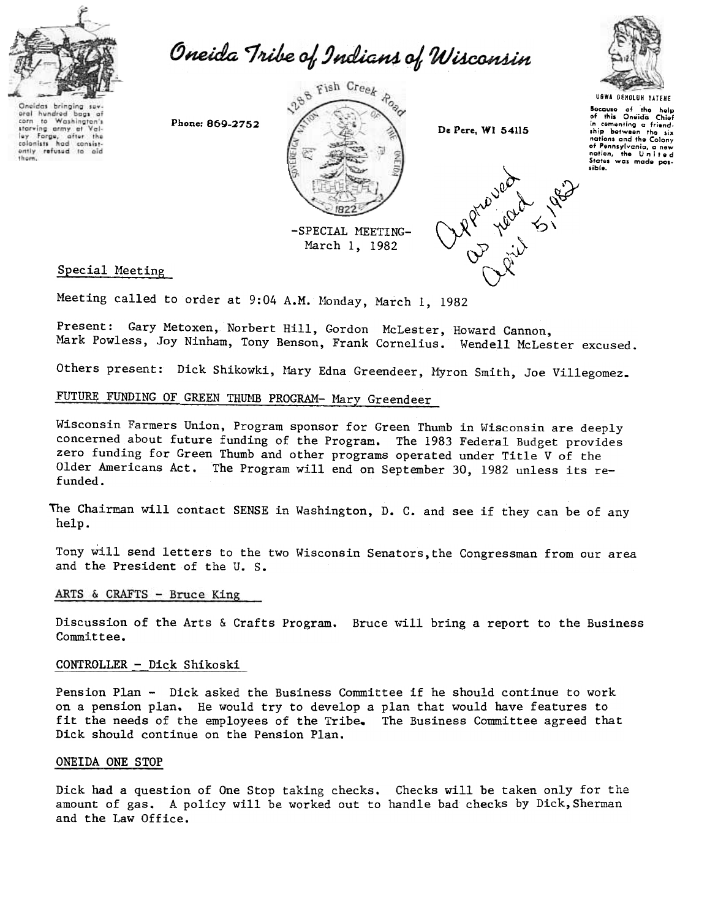

aral hundred bags at to Washington's

starving army at Val-<br>ley Forge, after the ently refused to aid

corn

Oneida Tribe of Indians of Wisconsin

UGWA BEHOLOH YATEHE

Socavso of tho holp of this On8;00 Chiof in comonting a friend-<br>ship botween the six nations and tho Colony of Pennsylvania, a new<br>nation, the United<br>States was made pos-

sible.



-SPECIAL MEETING-March 1, 1982



Special Meeting

Meeting called to order at 9:04 A.M. Monday, March 1, 1982

Present: Gary Metoxen, Norbert Hill, Gordon Mclester, Howard Cannon, Mark Powless, Joy Ninham, Tony Benson, Frank Cornelius. Wendell McLester excused.

Others present: Dick Shikowki, Mary Edna Greendeer, Myron Smith, Joe Villegomez.

# FUTURE FUNDING OF GREEN THUMB PROGRAM- Mary Greendeer

Wisconsin Farmers Union, Program sponsor for Green Thumb in Wisconsin are deeply concerned about future funding of the Program. The 1983 Federal Budget provides zero funding for Green Thumb and other programs operated under Title V of the Older Americans Act. The Program will end on September 30, 1982 unless its refunded.

The Chairman will contact SENSE in Washington, D. C. and see if they can be of any help.

Tony will send letters to the two Wisconsin Senators,the Congressman from our area and the President of the U. S.

#### ARTS & CRAFTS - Bruce King

Discussion of the Arts & Crafts Program. Bruce will bring a report to the Business Committee.

#### <u>CONTROLLER - Dick Shikos</u>

Pension Plan - Dick asked the Business Committee if he should continue to work on a pension plan. He would try to develop a plan that would have features to fit the needs of the employees of the Tribe. The Business Committee agreed that Dick should continue on the Pension Plan.

#### ONEIDA ONE STOP

Dick had a question of One Stop taking checks. Checks will be taken only for the amount of gas. A policy will be worked out to handle bad checks by Dick, Sherman and the Law Office.